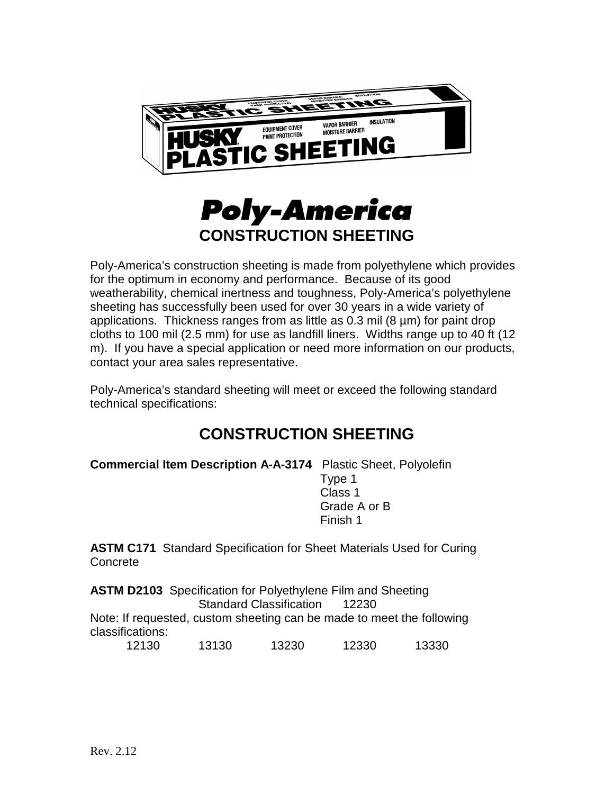



Poly-America's construction sheeting is made from polyethylene which provides for the optimum in economy and performance. Because of its good weatherability, chemical inertness and toughness, Poly-America's polyethylene sheeting has successfully been used for over 30 years in a wide variety of applications. Thickness ranges from as little as 0.3 mil (8 µm) for paint drop cloths to 100 mil (2.5 mm) for use as landfill liners. Widths range up to 40 ft (12 m). If you have a special application or need more information on our products, contact your area sales representative.

Poly-America's standard sheeting will meet or exceed the following standard technical specifications:

## **CONSTRUCTION SHEETING**

Finish 1

**Commercial Item Description A-A-3174** Plastic Sheet, Polyolefin Type 1 Class 1 Grade A or B

**ASTM C171** Standard Specification for Sheet Materials Used for Curing **Concrete** 

**ASTM D2103** Specification for Polyethylene Film and Sheeting Standard Classification 12230 Note: If requested, custom sheeting can be made to meet the following classifications:

12130 13130 13230 12330 13330